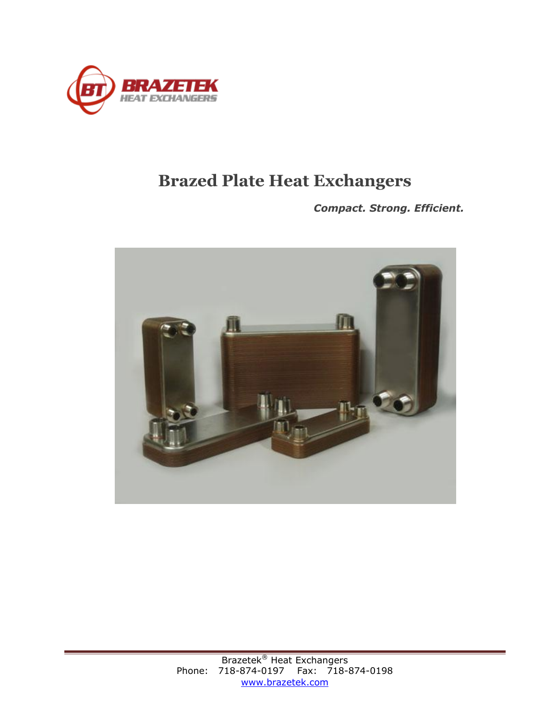

## **Brazed Plate Heat Exchangers**

*Compact. Strong. Efficient.*

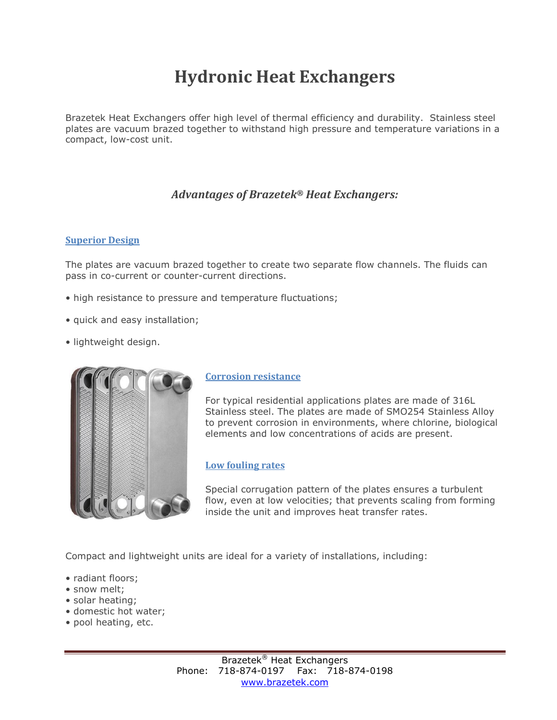# **Hydronic Heat Exchangers**

Brazetek Heat Exchangers offer high level of thermal efficiency and durability. Stainless steel plates are vacuum brazed together to withstand high pressure and temperature variations in a compact, low-cost unit.

### *Advantages of Brazetek® Heat Exchangers:*

#### **Superior Design**

The plates are vacuum brazed together to create two separate flow channels. The fluids can pass in co-current or counter-current directions.

- high resistance to pressure and temperature fluctuations;
- quick and easy installation;
- lightweight design.



#### **Corrosion resistance**

For typical residential applications plates are made of 316L Stainless steel. The plates are made of SMO254 Stainless Alloy to prevent corrosion in environments, where chlorine, biological elements and low concentrations of acids are present.

#### **Low fouling rates**

Special corrugation pattern of the plates ensures a turbulent flow, even at low velocities; that prevents scaling from forming inside the unit and improves heat transfer rates.

Compact and lightweight units are ideal for a variety of installations, including:

- radiant floors;
- snow melt;
- solar heating;
- domestic hot water;
- pool heating, etc.